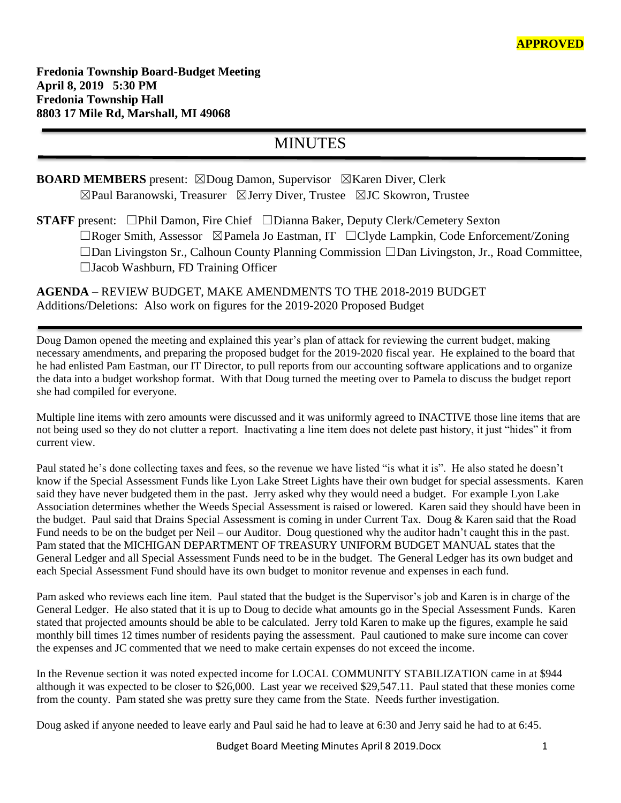# MINUTES

## **BOARD MEMBERS** present: ⊠Doug Damon, Supervisor ⊠Karen Diver, Clerk ☒Paul Baranowski, Treasurer ☒Jerry Diver, Trustee ☒JC Skowron, Trustee

**STAFF** present: ☐Phil Damon, Fire Chief ☐Dianna Baker, Deputy Clerk/Cemetery Sexton ☐Roger Smith, Assessor ☒Pamela Jo Eastman, IT ☐Clyde Lampkin, Code Enforcement/Zoning ☐Dan Livingston Sr., Calhoun County Planning Commission ☐Dan Livingston, Jr., Road Committee, ☐Jacob Washburn, FD Training Officer

## **AGENDA** – REVIEW BUDGET, MAKE AMENDMENTS TO THE 2018-2019 BUDGET Additions/Deletions: Also work on figures for the 2019-2020 Proposed Budget

Doug Damon opened the meeting and explained this year's plan of attack for reviewing the current budget, making necessary amendments, and preparing the proposed budget for the 2019-2020 fiscal year. He explained to the board that he had enlisted Pam Eastman, our IT Director, to pull reports from our accounting software applications and to organize the data into a budget workshop format. With that Doug turned the meeting over to Pamela to discuss the budget report she had compiled for everyone.

Multiple line items with zero amounts were discussed and it was uniformly agreed to INACTIVE those line items that are not being used so they do not clutter a report. Inactivating a line item does not delete past history, it just "hides" it from current view.

Paul stated he's done collecting taxes and fees, so the revenue we have listed "is what it is". He also stated he doesn't know if the Special Assessment Funds like Lyon Lake Street Lights have their own budget for special assessments. Karen said they have never budgeted them in the past. Jerry asked why they would need a budget. For example Lyon Lake Association determines whether the Weeds Special Assessment is raised or lowered. Karen said they should have been in the budget. Paul said that Drains Special Assessment is coming in under Current Tax. Doug & Karen said that the Road Fund needs to be on the budget per Neil – our Auditor. Doug questioned why the auditor hadn't caught this in the past. Pam stated that the MICHIGAN DEPARTMENT OF TREASURY UNIFORM BUDGET MANUAL states that the General Ledger and all Special Assessment Funds need to be in the budget. The General Ledger has its own budget and each Special Assessment Fund should have its own budget to monitor revenue and expenses in each fund.

Pam asked who reviews each line item. Paul stated that the budget is the Supervisor's job and Karen is in charge of the General Ledger. He also stated that it is up to Doug to decide what amounts go in the Special Assessment Funds. Karen stated that projected amounts should be able to be calculated. Jerry told Karen to make up the figures, example he said monthly bill times 12 times number of residents paying the assessment. Paul cautioned to make sure income can cover the expenses and JC commented that we need to make certain expenses do not exceed the income.

In the Revenue section it was noted expected income for LOCAL COMMUNITY STABILIZATION came in at \$944 although it was expected to be closer to \$26,000. Last year we received \$29,547.11. Paul stated that these monies come from the county. Pam stated she was pretty sure they came from the State. Needs further investigation.

Doug asked if anyone needed to leave early and Paul said he had to leave at 6:30 and Jerry said he had to at 6:45.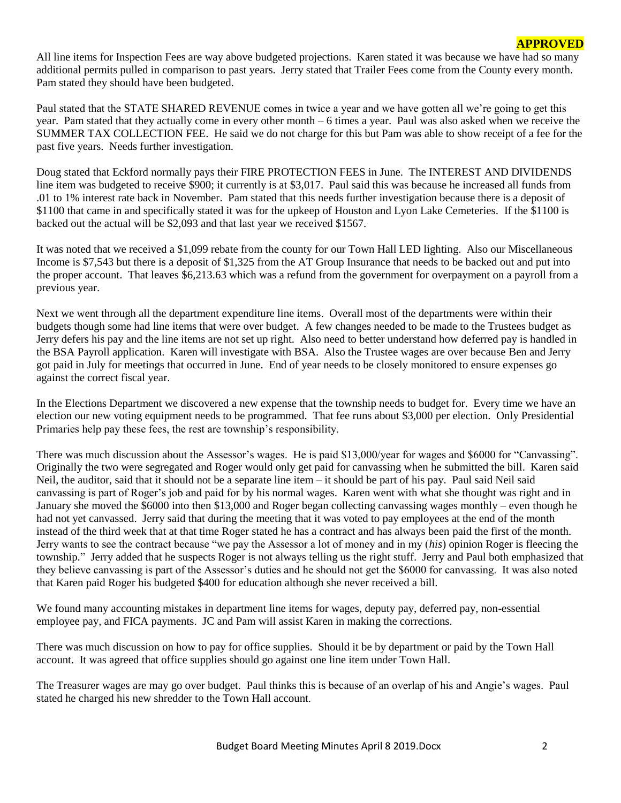### **APPROVED**

All line items for Inspection Fees are way above budgeted projections. Karen stated it was because we have had so many additional permits pulled in comparison to past years. Jerry stated that Trailer Fees come from the County every month. Pam stated they should have been budgeted.

Paul stated that the STATE SHARED REVENUE comes in twice a year and we have gotten all we're going to get this year. Pam stated that they actually come in every other month – 6 times a year. Paul was also asked when we receive the SUMMER TAX COLLECTION FEE. He said we do not charge for this but Pam was able to show receipt of a fee for the past five years. Needs further investigation.

Doug stated that Eckford normally pays their FIRE PROTECTION FEES in June. The INTEREST AND DIVIDENDS line item was budgeted to receive \$900; it currently is at \$3,017. Paul said this was because he increased all funds from .01 to 1% interest rate back in November. Pam stated that this needs further investigation because there is a deposit of \$1100 that came in and specifically stated it was for the upkeep of Houston and Lyon Lake Cemeteries. If the \$1100 is backed out the actual will be \$2,093 and that last year we received \$1567.

It was noted that we received a \$1,099 rebate from the county for our Town Hall LED lighting. Also our Miscellaneous Income is \$7,543 but there is a deposit of \$1,325 from the AT Group Insurance that needs to be backed out and put into the proper account. That leaves \$6,213.63 which was a refund from the government for overpayment on a payroll from a previous year.

Next we went through all the department expenditure line items. Overall most of the departments were within their budgets though some had line items that were over budget. A few changes needed to be made to the Trustees budget as Jerry defers his pay and the line items are not set up right. Also need to better understand how deferred pay is handled in the BSA Payroll application. Karen will investigate with BSA. Also the Trustee wages are over because Ben and Jerry got paid in July for meetings that occurred in June. End of year needs to be closely monitored to ensure expenses go against the correct fiscal year.

In the Elections Department we discovered a new expense that the township needs to budget for. Every time we have an election our new voting equipment needs to be programmed. That fee runs about \$3,000 per election. Only Presidential Primaries help pay these fees, the rest are township's responsibility.

There was much discussion about the Assessor's wages. He is paid \$13,000/year for wages and \$6000 for "Canvassing". Originally the two were segregated and Roger would only get paid for canvassing when he submitted the bill. Karen said Neil, the auditor, said that it should not be a separate line item – it should be part of his pay. Paul said Neil said canvassing is part of Roger's job and paid for by his normal wages. Karen went with what she thought was right and in January she moved the \$6000 into then \$13,000 and Roger began collecting canvassing wages monthly – even though he had not yet canvassed. Jerry said that during the meeting that it was voted to pay employees at the end of the month instead of the third week that at that time Roger stated he has a contract and has always been paid the first of the month. Jerry wants to see the contract because "we pay the Assessor a lot of money and in my (*his*) opinion Roger is fleecing the township." Jerry added that he suspects Roger is not always telling us the right stuff. Jerry and Paul both emphasized that they believe canvassing is part of the Assessor's duties and he should not get the \$6000 for canvassing. It was also noted that Karen paid Roger his budgeted \$400 for education although she never received a bill.

We found many accounting mistakes in department line items for wages, deputy pay, deferred pay, non-essential employee pay, and FICA payments. JC and Pam will assist Karen in making the corrections.

There was much discussion on how to pay for office supplies. Should it be by department or paid by the Town Hall account. It was agreed that office supplies should go against one line item under Town Hall.

The Treasurer wages are may go over budget. Paul thinks this is because of an overlap of his and Angie's wages. Paul stated he charged his new shredder to the Town Hall account.